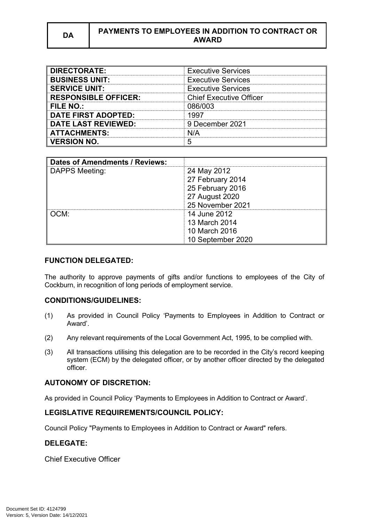| <b>DIRECTORATE:</b>         | <b>Executive Services</b>      |
|-----------------------------|--------------------------------|
| <b>BUSINESS UNIT:</b>       | <b>Executive Services</b>      |
| <b>SERVICE UNIT:</b>        | <b>Executive Services</b>      |
| <b>RESPONSIBLE OFFICER:</b> | <b>Chief Executive Officer</b> |
| <b>FILE NO.:</b>            | 086/003                        |
| <b>DATE FIRST ADOPTED:</b>  | 1997                           |
| <b>DATE LAST REVIEWED:</b>  | 9 December 2021                |
| <b>ATTACHMENTS:</b>         | N/A                            |
| <b>VERSION NO.</b>          |                                |

| Dates of Amendments / Reviews: |                   |
|--------------------------------|-------------------|
| DAPPS Meeting:                 | 24 May 2012       |
|                                | 27 February 2014  |
|                                | 25 February 2016  |
|                                | 27 August 2020    |
|                                | 25 November 2021  |
| OCM:                           | 14 June 2012      |
|                                | 13 March 2014     |
|                                | 10 March 2016     |
|                                | 10 September 2020 |

## **FUNCTION DELEGATED:**

The authority to approve payments of gifts and/or functions to employees of the City of Cockburn, in recognition of long periods of employment service.

## **CONDITIONS/GUIDELINES:**

- (1) As provided in Council Policy 'Payments to Employees in Addition to Contract or Award'.
- (2) Any relevant requirements of the Local Government Act, 1995, to be complied with.
- (3) All transactions utilising this delegation are to be recorded in the City's record keeping system (ECM) by the delegated officer, or by another officer directed by the delegated officer.

#### **AUTONOMY OF DISCRETION:**

As provided in Council Policy 'Payments to Employees in Addition to Contract or Award'.

## **LEGISLATIVE REQUIREMENTS/COUNCIL POLICY:**

Council Policy "Payments to Employees in Addition to Contract or Award" refers.

#### **DELEGATE:**

Chief Executive Officer